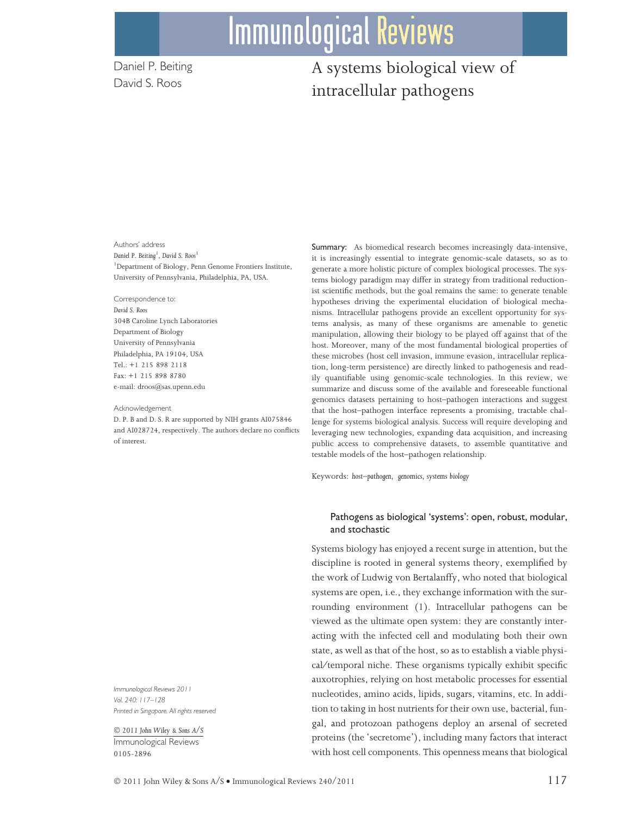# **Immunological Reviews**

Daniel P. Beiting David S. Roos

## A systems biological view of intracellular pathogens

Authors' address Daniel P. Beiting<sup>1</sup>, David S. Roos<sup>1</sup> 1 Department of Biology, Penn Genome Frontiers Institute, University of Pennsylvania, Philadelphia, PA, USA.

Correspondence to: David S. Roos 304B Caroline Lynch Laboratories Department of Biology University of Pennsylvania Philadelphia, PA 19104, USA Tel.: +1 215 898 2118 Fax: +1 215 898 8780 e-mail: droos@sas.upenn.edu

#### Acknowledgement

D. P. B and D. S. R are supported by NIH grants AI075846 and AI028724, respectively. The authors declare no conflicts of interest.

Immunological Reviews 2011 Vol. 240: 117–128 Printed in Singapore. All rights reserved

- 2011 John Wiley & Sons A/S Immunological Reviews 0105-2896

Summary: As biomedical research becomes increasingly data-intensive, it is increasingly essential to integrate genomic-scale datasets, so as to generate a more holistic picture of complex biological processes. The systems biology paradigm may differ in strategy from traditional reductionist scientific methods, but the goal remains the same: to generate tenable hypotheses driving the experimental elucidation of biological mechanisms. Intracellular pathogens provide an excellent opportunity for systems analysis, as many of these organisms are amenable to genetic manipulation, allowing their biology to be played off against that of the host. Moreover, many of the most fundamental biological properties of these microbes (host cell invasion, immune evasion, intracellular replication, long-term persistence) are directly linked to pathogenesis and readily quantifiable using genomic-scale technologies. In this review, we summarize and discuss some of the available and foreseeable functional genomics datasets pertaining to host–pathogen interactions and suggest that the host–pathogen interface represents a promising, tractable challenge for systems biological analysis. Success will require developing and leveraging new technologies, expanding data acquisition, and increasing public access to comprehensive datasets, to assemble quantitative and testable models of the host–pathogen relationship.

Keywords: host–pathogen, genomics, systems biology

#### Pathogens as biological 'systems': open, robust, modular, and stochastic

Systems biology has enjoyed a recent surge in attention, but the discipline is rooted in general systems theory, exemplified by the work of Ludwig von Bertalanffy, who noted that biological systems are open, i.e., they exchange information with the surrounding environment (1). Intracellular pathogens can be viewed as the ultimate open system: they are constantly interacting with the infected cell and modulating both their own state, as well as that of the host, so as to establish a viable physical/temporal niche. These organisms typically exhibit specific auxotrophies, relying on host metabolic processes for essential nucleotides, amino acids, lipids, sugars, vitamins, etc. In addition to taking in host nutrients for their own use, bacterial, fungal, and protozoan pathogens deploy an arsenal of secreted proteins (the 'secretome'), including many factors that interact with host cell components. This openness means that biological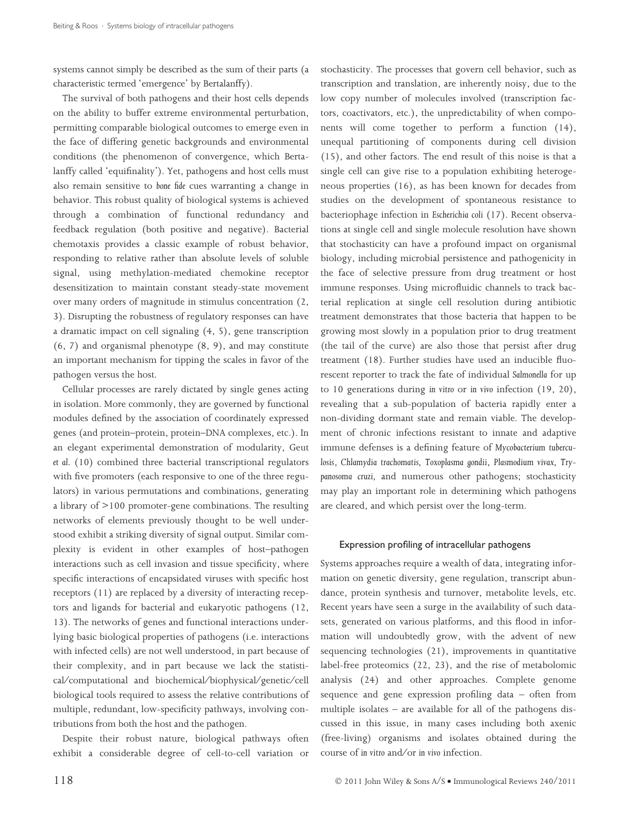systems cannot simply be described as the sum of their parts (a characteristic termed 'emergence' by Bertalanffy).

The survival of both pathogens and their host cells depends on the ability to buffer extreme environmental perturbation, permitting comparable biological outcomes to emerge even in the face of differing genetic backgrounds and environmental conditions (the phenomenon of convergence, which Bertalanffy called 'equifinality'). Yet, pathogens and host cells must also remain sensitive to bone fide cues warranting a change in behavior. This robust quality of biological systems is achieved through a combination of functional redundancy and feedback regulation (both positive and negative). Bacterial chemotaxis provides a classic example of robust behavior, responding to relative rather than absolute levels of soluble signal, using methylation-mediated chemokine receptor desensitization to maintain constant steady-state movement over many orders of magnitude in stimulus concentration (2, 3). Disrupting the robustness of regulatory responses can have a dramatic impact on cell signaling (4, 5), gene transcription (6, 7) and organismal phenotype (8, 9), and may constitute an important mechanism for tipping the scales in favor of the pathogen versus the host.

Cellular processes are rarely dictated by single genes acting in isolation. More commonly, they are governed by functional modules defined by the association of coordinately expressed genes (and protein–protein, protein–DNA complexes, etc.). In an elegant experimental demonstration of modularity, Geut et al. (10) combined three bacterial transcriptional regulators with five promoters (each responsive to one of the three regulators) in various permutations and combinations, generating a library of >100 promoter-gene combinations. The resulting networks of elements previously thought to be well understood exhibit a striking diversity of signal output. Similar complexity is evident in other examples of host–pathogen interactions such as cell invasion and tissue specificity, where specific interactions of encapsidated viruses with specific host receptors (11) are replaced by a diversity of interacting receptors and ligands for bacterial and eukaryotic pathogens (12, 13). The networks of genes and functional interactions underlying basic biological properties of pathogens (i.e. interactions with infected cells) are not well understood, in part because of their complexity, and in part because we lack the statistical/computational and biochemical/biophysical/genetic/cell biological tools required to assess the relative contributions of multiple, redundant, low-specificity pathways, involving contributions from both the host and the pathogen.

Despite their robust nature, biological pathways often exhibit a considerable degree of cell-to-cell variation or

stochasticity. The processes that govern cell behavior, such as transcription and translation, are inherently noisy, due to the low copy number of molecules involved (transcription factors, coactivators, etc.), the unpredictability of when components will come together to perform a function (14), unequal partitioning of components during cell division (15), and other factors. The end result of this noise is that a single cell can give rise to a population exhibiting heterogeneous properties (16), as has been known for decades from studies on the development of spontaneous resistance to bacteriophage infection in Escherichia coli (17). Recent observations at single cell and single molecule resolution have shown that stochasticity can have a profound impact on organismal biology, including microbial persistence and pathogenicity in the face of selective pressure from drug treatment or host immune responses. Using microfluidic channels to track bacterial replication at single cell resolution during antibiotic treatment demonstrates that those bacteria that happen to be growing most slowly in a population prior to drug treatment (the tail of the curve) are also those that persist after drug treatment (18). Further studies have used an inducible fluorescent reporter to track the fate of individual Salmonella for up to 10 generations during in vitro or in vivo infection (19, 20), revealing that a sub-population of bacteria rapidly enter a non-dividing dormant state and remain viable. The development of chronic infections resistant to innate and adaptive immune defenses is a defining feature of Mycobacterium tuberculosis, Chlamydia trachomatis, Toxoplasma gondii, Plasmodium vivax, Trypanosoma cruzi, and numerous other pathogens; stochasticity may play an important role in determining which pathogens are cleared, and which persist over the long-term.

#### Expression profiling of intracellular pathogens

Systems approaches require a wealth of data, integrating information on genetic diversity, gene regulation, transcript abundance, protein synthesis and turnover, metabolite levels, etc. Recent years have seen a surge in the availability of such datasets, generated on various platforms, and this flood in information will undoubtedly grow, with the advent of new sequencing technologies (21), improvements in quantitative label-free proteomics (22, 23), and the rise of metabolomic analysis (24) and other approaches. Complete genome sequence and gene expression profiling data – often from multiple isolates – are available for all of the pathogens discussed in this issue, in many cases including both axenic (free-living) organisms and isolates obtained during the course of in vitro and/or in vivo infection.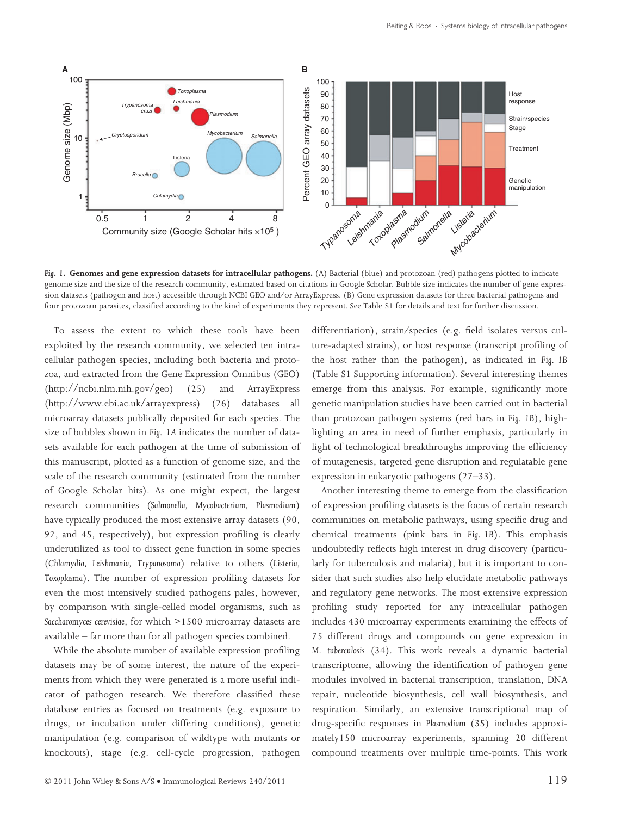

Fig. 1. Genomes and gene expression datasets for intracellular pathogens. (A) Bacterial (blue) and protozoan (red) pathogens plotted to indicate genome size and the size of the research community, estimated based on citations in Google Scholar. Bubble size indicates the number of gene expression datasets (pathogen and host) accessible through NCBI GEO and/or ArrayExpress. (B) Gene expression datasets for three bacterial pathogens and four protozoan parasites, classified according to the kind of experiments they represent. See Table S1 for details and text for further discussion.

To assess the extent to which these tools have been exploited by the research community, we selected ten intracellular pathogen species, including both bacteria and protozoa, and extracted from the Gene Expression Omnibus (GEO) (http://ncbi.nlm.nih.gov/geo) (25) and ArrayExpress (http://www.ebi.ac.uk/arrayexpress) (26) databases all microarray datasets publically deposited for each species. The size of bubbles shown in Fig. 1A indicates the number of datasets available for each pathogen at the time of submission of this manuscript, plotted as a function of genome size, and the scale of the research community (estimated from the number of Google Scholar hits). As one might expect, the largest research communities (Salmonella, Mycobacterium, Plasmodium) have typically produced the most extensive array datasets (90, 92, and 45, respectively), but expression profiling is clearly underutilized as tool to dissect gene function in some species (Chlamydia, Leishmania, Trypanosoma) relative to others (Listeria, Toxoplasma). The number of expression profiling datasets for even the most intensively studied pathogens pales, however, by comparison with single-celled model organisms, such as Saccharomyces cerevisiae, for which >1500 microarray datasets are available – far more than for all pathogen species combined.

While the absolute number of available expression profiling datasets may be of some interest, the nature of the experiments from which they were generated is a more useful indicator of pathogen research. We therefore classified these database entries as focused on treatments (e.g. exposure to drugs, or incubation under differing conditions), genetic manipulation (e.g. comparison of wildtype with mutants or knockouts), stage (e.g. cell-cycle progression, pathogen

differentiation), strain/species (e.g. field isolates versus culture-adapted strains), or host response (transcript profiling of the host rather than the pathogen), as indicated in Fig. 1B (Table S1 Supporting information). Several interesting themes emerge from this analysis. For example, significantly more genetic manipulation studies have been carried out in bacterial than protozoan pathogen systems (red bars in Fig. 1B), highlighting an area in need of further emphasis, particularly in light of technological breakthroughs improving the efficiency of mutagenesis, targeted gene disruption and regulatable gene expression in eukaryotic pathogens (27–33).

Another interesting theme to emerge from the classification of expression profiling datasets is the focus of certain research communities on metabolic pathways, using specific drug and chemical treatments (pink bars in Fig. 1B). This emphasis undoubtedly reflects high interest in drug discovery (particularly for tuberculosis and malaria), but it is important to consider that such studies also help elucidate metabolic pathways and regulatory gene networks. The most extensive expression profiling study reported for any intracellular pathogen includes 430 microarray experiments examining the effects of 75 different drugs and compounds on gene expression in M. tuberculosis (34). This work reveals a dynamic bacterial transcriptome, allowing the identification of pathogen gene modules involved in bacterial transcription, translation, DNA repair, nucleotide biosynthesis, cell wall biosynthesis, and respiration. Similarly, an extensive transcriptional map of drug-specific responses in Plasmodium (35) includes approximately150 microarray experiments, spanning 20 different compound treatments over multiple time-points. This work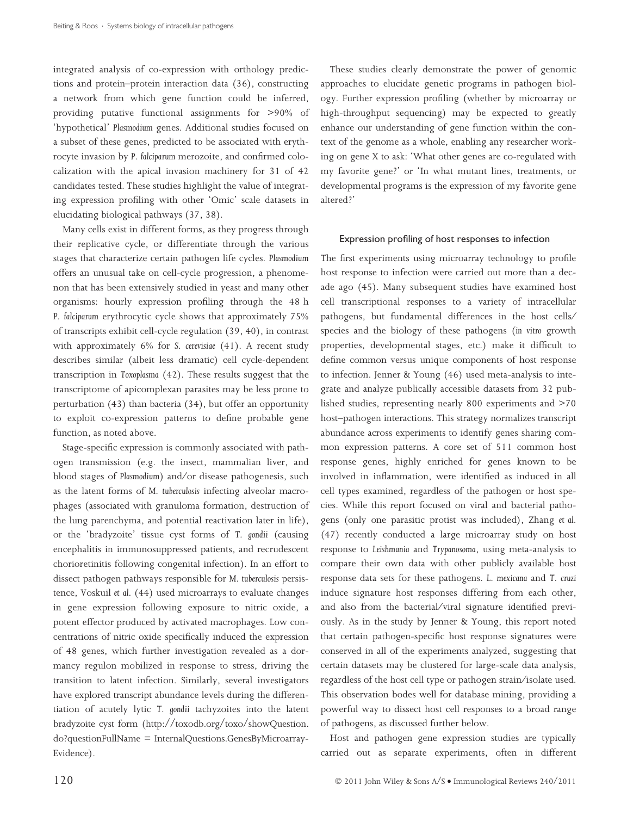integrated analysis of co-expression with orthology predictions and protein–protein interaction data (36), constructing a network from which gene function could be inferred, providing putative functional assignments for >90% of 'hypothetical' Plasmodium genes. Additional studies focused on a subset of these genes, predicted to be associated with erythrocyte invasion by P. falciparum merozoite, and confirmed colocalization with the apical invasion machinery for 31 of 42 candidates tested. These studies highlight the value of integrating expression profiling with other 'Omic' scale datasets in elucidating biological pathways (37, 38).

Many cells exist in different forms, as they progress through their replicative cycle, or differentiate through the various stages that characterize certain pathogen life cycles. Plasmodium offers an unusual take on cell-cycle progression, a phenomenon that has been extensively studied in yeast and many other organisms: hourly expression profiling through the 48 h P. falciparum erythrocytic cycle shows that approximately 75% of transcripts exhibit cell-cycle regulation (39, 40), in contrast with approximately 6% for S. cerevisiae (41). A recent study describes similar (albeit less dramatic) cell cycle-dependent transcription in Toxoplasma (42). These results suggest that the transcriptome of apicomplexan parasites may be less prone to perturbation (43) than bacteria (34), but offer an opportunity to exploit co-expression patterns to define probable gene function, as noted above.

Stage-specific expression is commonly associated with pathogen transmission (e.g. the insect, mammalian liver, and blood stages of Plasmodium) and/or disease pathogenesis, such as the latent forms of M. tuberculosis infecting alveolar macrophages (associated with granuloma formation, destruction of the lung parenchyma, and potential reactivation later in life), or the 'bradyzoite' tissue cyst forms of T. gondii (causing encephalitis in immunosuppressed patients, and recrudescent chorioretinitis following congenital infection). In an effort to dissect pathogen pathways responsible for M. tuberculosis persistence, Voskuil et al. (44) used microarrays to evaluate changes in gene expression following exposure to nitric oxide, a potent effector produced by activated macrophages. Low concentrations of nitric oxide specifically induced the expression of 48 genes, which further investigation revealed as a dormancy regulon mobilized in response to stress, driving the transition to latent infection. Similarly, several investigators have explored transcript abundance levels during the differentiation of acutely lytic T. gondii tachyzoites into the latent bradyzoite cyst form (http://toxodb.org/toxo/showQuestion. do?questionFullName = InternalQuestions.GenesByMicroarray-Evidence).

These studies clearly demonstrate the power of genomic approaches to elucidate genetic programs in pathogen biology. Further expression profiling (whether by microarray or high-throughput sequencing) may be expected to greatly enhance our understanding of gene function within the context of the genome as a whole, enabling any researcher working on gene X to ask: 'What other genes are co-regulated with my favorite gene?' or 'In what mutant lines, treatments, or developmental programs is the expression of my favorite gene altered?'

#### Expression profiling of host responses to infection

The first experiments using microarray technology to profile host response to infection were carried out more than a decade ago (45). Many subsequent studies have examined host cell transcriptional responses to a variety of intracellular pathogens, but fundamental differences in the host cells⁄ species and the biology of these pathogens (in vitro growth properties, developmental stages, etc.) make it difficult to define common versus unique components of host response to infection. Jenner & Young (46) used meta-analysis to integrate and analyze publically accessible datasets from 32 published studies, representing nearly 800 experiments and >70 host–pathogen interactions. This strategy normalizes transcript abundance across experiments to identify genes sharing common expression patterns. A core set of 511 common host response genes, highly enriched for genes known to be involved in inflammation, were identified as induced in all cell types examined, regardless of the pathogen or host species. While this report focused on viral and bacterial pathogens (only one parasitic protist was included), Zhang et al. (47) recently conducted a large microarray study on host response to Leishmania and Trypanosoma, using meta-analysis to compare their own data with other publicly available host response data sets for these pathogens. L. mexicana and T. cruzi induce signature host responses differing from each other, and also from the bacterial/viral signature identified previously. As in the study by Jenner & Young, this report noted that certain pathogen-specific host response signatures were conserved in all of the experiments analyzed, suggesting that certain datasets may be clustered for large-scale data analysis, regardless of the host cell type or pathogen strain ⁄ isolate used. This observation bodes well for database mining, providing a powerful way to dissect host cell responses to a broad range of pathogens, as discussed further below.

Host and pathogen gene expression studies are typically carried out as separate experiments, often in different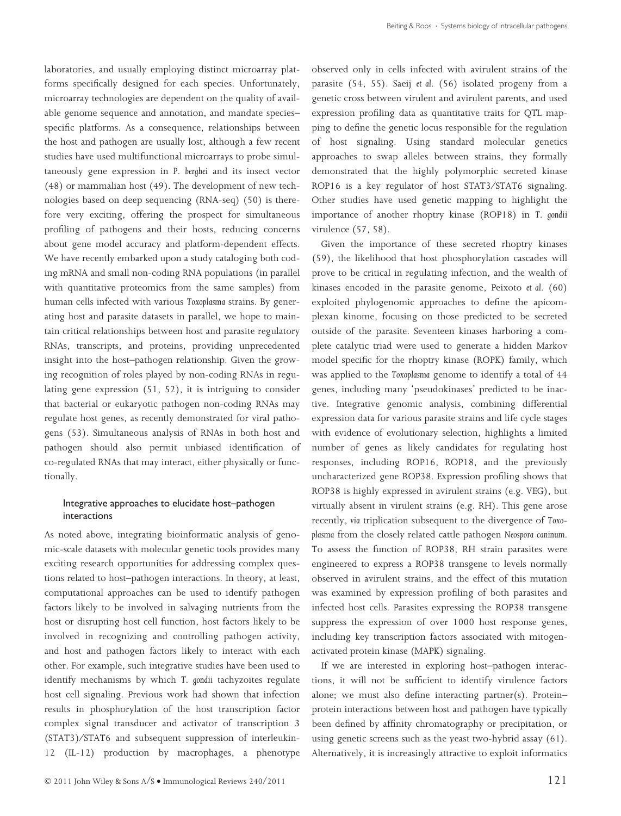laboratories, and usually employing distinct microarray platforms specifically designed for each species. Unfortunately, microarray technologies are dependent on the quality of available genome sequence and annotation, and mandate species– specific platforms. As a consequence, relationships between the host and pathogen are usually lost, although a few recent studies have used multifunctional microarrays to probe simultaneously gene expression in P. berghei and its insect vector (48) or mammalian host (49). The development of new technologies based on deep sequencing (RNA-seq) (50) is therefore very exciting, offering the prospect for simultaneous profiling of pathogens and their hosts, reducing concerns about gene model accuracy and platform-dependent effects. We have recently embarked upon a study cataloging both coding mRNA and small non-coding RNA populations (in parallel with quantitative proteomics from the same samples) from human cells infected with various Toxoplasma strains. By generating host and parasite datasets in parallel, we hope to maintain critical relationships between host and parasite regulatory RNAs, transcripts, and proteins, providing unprecedented insight into the host–pathogen relationship. Given the growing recognition of roles played by non-coding RNAs in regulating gene expression (51, 52), it is intriguing to consider that bacterial or eukaryotic pathogen non-coding RNAs may regulate host genes, as recently demonstrated for viral pathogens (53). Simultaneous analysis of RNAs in both host and pathogen should also permit unbiased identification of co-regulated RNAs that may interact, either physically or functionally.

#### Integrative approaches to elucidate host–pathogen interactions

As noted above, integrating bioinformatic analysis of genomic-scale datasets with molecular genetic tools provides many exciting research opportunities for addressing complex questions related to host–pathogen interactions. In theory, at least, computational approaches can be used to identify pathogen factors likely to be involved in salvaging nutrients from the host or disrupting host cell function, host factors likely to be involved in recognizing and controlling pathogen activity, and host and pathogen factors likely to interact with each other. For example, such integrative studies have been used to identify mechanisms by which T. gondii tachyzoites regulate host cell signaling. Previous work had shown that infection results in phosphorylation of the host transcription factor complex signal transducer and activator of transcription 3 (STAT3)⁄ STAT6 and subsequent suppression of interleukin-12 (IL-12) production by macrophages, a phenotype

observed only in cells infected with avirulent strains of the parasite (54, 55). Saeij et al. (56) isolated progeny from a genetic cross between virulent and avirulent parents, and used expression profiling data as quantitative traits for QTL mapping to define the genetic locus responsible for the regulation of host signaling. Using standard molecular genetics approaches to swap alleles between strains, they formally demonstrated that the highly polymorphic secreted kinase ROP16 is a key regulator of host STAT3/STAT6 signaling. Other studies have used genetic mapping to highlight the importance of another rhoptry kinase (ROP18) in T. gondii virulence (57, 58).

Given the importance of these secreted rhoptry kinases (59), the likelihood that host phosphorylation cascades will prove to be critical in regulating infection, and the wealth of kinases encoded in the parasite genome, Peixoto et al. (60) exploited phylogenomic approaches to define the apicomplexan kinome, focusing on those predicted to be secreted outside of the parasite. Seventeen kinases harboring a complete catalytic triad were used to generate a hidden Markov model specific for the rhoptry kinase (ROPK) family, which was applied to the Toxoplasma genome to identify a total of 44 genes, including many 'pseudokinases' predicted to be inactive. Integrative genomic analysis, combining differential expression data for various parasite strains and life cycle stages with evidence of evolutionary selection, highlights a limited number of genes as likely candidates for regulating host responses, including ROP16, ROP18, and the previously uncharacterized gene ROP38. Expression profiling shows that ROP38 is highly expressed in avirulent strains (e.g. VEG), but virtually absent in virulent strains (e.g. RH). This gene arose recently, via triplication subsequent to the divergence of Toxoplasma from the closely related cattle pathogen Neospora caninum. To assess the function of ROP38, RH strain parasites were engineered to express a ROP38 transgene to levels normally observed in avirulent strains, and the effect of this mutation was examined by expression profiling of both parasites and infected host cells. Parasites expressing the ROP38 transgene suppress the expression of over 1000 host response genes, including key transcription factors associated with mitogenactivated protein kinase (MAPK) signaling.

If we are interested in exploring host–pathogen interactions, it will not be sufficient to identify virulence factors alone; we must also define interacting partner(s). Protein– protein interactions between host and pathogen have typically been defined by affinity chromatography or precipitation, or using genetic screens such as the yeast two-hybrid assay (61). Alternatively, it is increasingly attractive to exploit informatics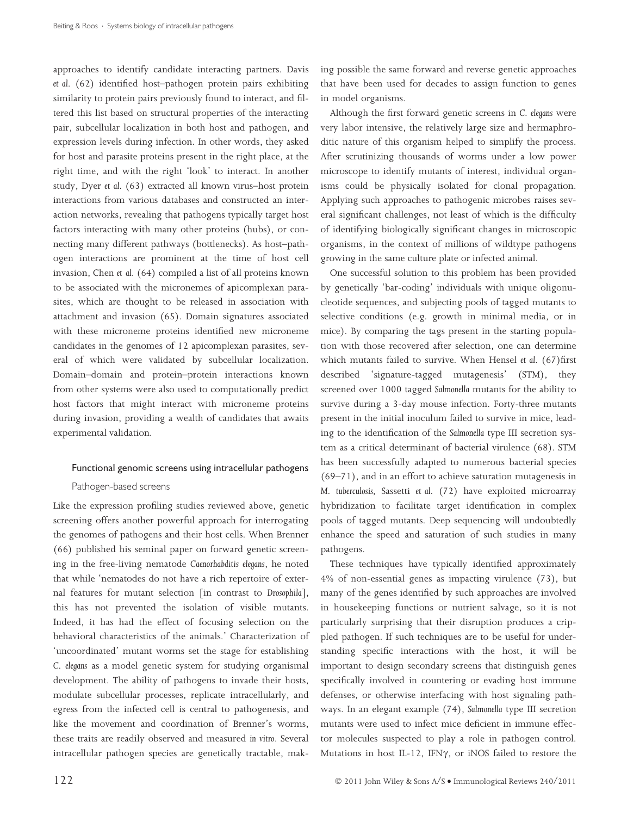approaches to identify candidate interacting partners. Davis et al. (62) identified host–pathogen protein pairs exhibiting similarity to protein pairs previously found to interact, and filtered this list based on structural properties of the interacting pair, subcellular localization in both host and pathogen, and expression levels during infection. In other words, they asked for host and parasite proteins present in the right place, at the right time, and with the right 'look' to interact. In another study, Dyer et al. (63) extracted all known virus–host protein interactions from various databases and constructed an interaction networks, revealing that pathogens typically target host factors interacting with many other proteins (hubs), or connecting many different pathways (bottlenecks). As host–pathogen interactions are prominent at the time of host cell invasion, Chen et al. (64) compiled a list of all proteins known to be associated with the micronemes of apicomplexan parasites, which are thought to be released in association with attachment and invasion (65). Domain signatures associated with these microneme proteins identified new microneme candidates in the genomes of 12 apicomplexan parasites, several of which were validated by subcellular localization. Domain–domain and protein–protein interactions known from other systems were also used to computationally predict host factors that might interact with microneme proteins during invasion, providing a wealth of candidates that awaits experimental validation.

#### Functional genomic screens using intracellular pathogens

#### Pathogen-based screens

Like the expression profiling studies reviewed above, genetic screening offers another powerful approach for interrogating the genomes of pathogens and their host cells. When Brenner (66) published his seminal paper on forward genetic screening in the free-living nematode Caenorhabditis elegans, he noted that while 'nematodes do not have a rich repertoire of external features for mutant selection [in contrast to Drosophila], this has not prevented the isolation of visible mutants. Indeed, it has had the effect of focusing selection on the behavioral characteristics of the animals.' Characterization of 'uncoordinated' mutant worms set the stage for establishing C. elegans as a model genetic system for studying organismal development. The ability of pathogens to invade their hosts, modulate subcellular processes, replicate intracellularly, and egress from the infected cell is central to pathogenesis, and like the movement and coordination of Brenner's worms, these traits are readily observed and measured in vitro. Several intracellular pathogen species are genetically tractable, making possible the same forward and reverse genetic approaches that have been used for decades to assign function to genes in model organisms.

Although the first forward genetic screens in C. elegans were very labor intensive, the relatively large size and hermaphroditic nature of this organism helped to simplify the process. After scrutinizing thousands of worms under a low power microscope to identify mutants of interest, individual organisms could be physically isolated for clonal propagation. Applying such approaches to pathogenic microbes raises several significant challenges, not least of which is the difficulty of identifying biologically significant changes in microscopic organisms, in the context of millions of wildtype pathogens growing in the same culture plate or infected animal.

One successful solution to this problem has been provided by genetically 'bar-coding' individuals with unique oligonucleotide sequences, and subjecting pools of tagged mutants to selective conditions (e.g. growth in minimal media, or in mice). By comparing the tags present in the starting population with those recovered after selection, one can determine which mutants failed to survive. When Hensel et al. (67)first described 'signature-tagged mutagenesis' (STM), they screened over 1000 tagged Salmonella mutants for the ability to survive during a 3-day mouse infection. Forty-three mutants present in the initial inoculum failed to survive in mice, leading to the identification of the Salmonella type III secretion system as a critical determinant of bacterial virulence (68). STM has been successfully adapted to numerous bacterial species (69–71), and in an effort to achieve saturation mutagenesis in M. tuberculosis, Sassetti et al. (72) have exploited microarray hybridization to facilitate target identification in complex pools of tagged mutants. Deep sequencing will undoubtedly enhance the speed and saturation of such studies in many pathogens.

These techniques have typically identified approximately 4% of non-essential genes as impacting virulence (73), but many of the genes identified by such approaches are involved in housekeeping functions or nutrient salvage, so it is not particularly surprising that their disruption produces a crippled pathogen. If such techniques are to be useful for understanding specific interactions with the host, it will be important to design secondary screens that distinguish genes specifically involved in countering or evading host immune defenses, or otherwise interfacing with host signaling pathways. In an elegant example (74), Salmonella type III secretion mutants were used to infect mice deficient in immune effector molecules suspected to play a role in pathogen control. Mutations in host IL-12, IFN $\gamma$ , or iNOS failed to restore the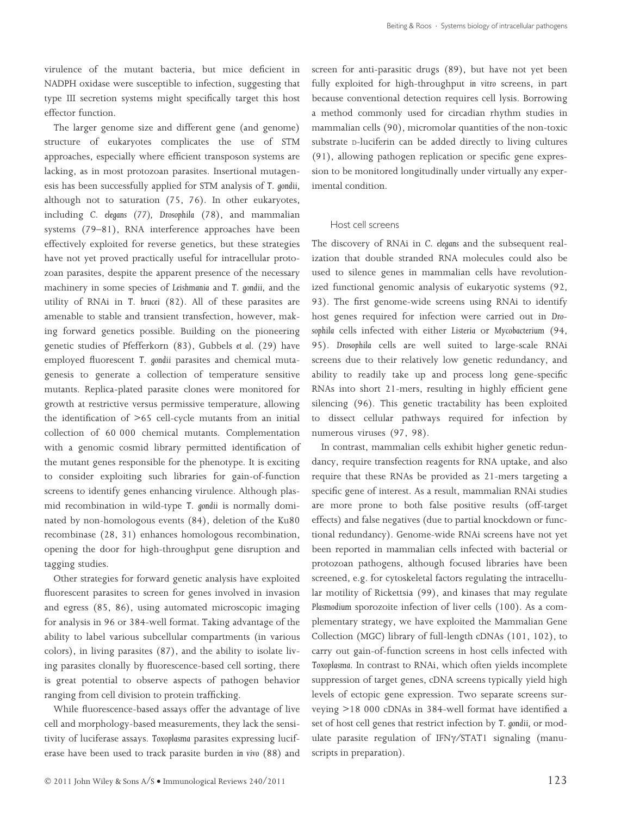virulence of the mutant bacteria, but mice deficient in NADPH oxidase were susceptible to infection, suggesting that type III secretion systems might specifically target this host effector function.

The larger genome size and different gene (and genome) structure of eukaryotes complicates the use of STM approaches, especially where efficient transposon systems are lacking, as in most protozoan parasites. Insertional mutagenesis has been successfully applied for STM analysis of T. gondii, although not to saturation (75, 76). In other eukaryotes, including C. elegans (77), Drosophila (78), and mammalian systems (79–81), RNA interference approaches have been effectively exploited for reverse genetics, but these strategies have not yet proved practically useful for intracellular protozoan parasites, despite the apparent presence of the necessary machinery in some species of Leishmania and T. gondii, and the utility of RNAi in T. brucei (82). All of these parasites are amenable to stable and transient transfection, however, making forward genetics possible. Building on the pioneering genetic studies of Pfefferkorn (83), Gubbels et al. (29) have employed fluorescent T. gondii parasites and chemical mutagenesis to generate a collection of temperature sensitive mutants. Replica-plated parasite clones were monitored for growth at restrictive versus permissive temperature, allowing the identification of >65 cell-cycle mutants from an initial collection of 60 000 chemical mutants. Complementation with a genomic cosmid library permitted identification of the mutant genes responsible for the phenotype. It is exciting to consider exploiting such libraries for gain-of-function screens to identify genes enhancing virulence. Although plasmid recombination in wild-type T. gondii is normally dominated by non-homologous events (84), deletion of the Ku80 recombinase (28, 31) enhances homologous recombination, opening the door for high-throughput gene disruption and tagging studies.

Other strategies for forward genetic analysis have exploited fluorescent parasites to screen for genes involved in invasion and egress (85, 86), using automated microscopic imaging for analysis in 96 or 384-well format. Taking advantage of the ability to label various subcellular compartments (in various colors), in living parasites (87), and the ability to isolate living parasites clonally by fluorescence-based cell sorting, there is great potential to observe aspects of pathogen behavior ranging from cell division to protein trafficking.

While fluorescence-based assays offer the advantage of live cell and morphology-based measurements, they lack the sensitivity of luciferase assays. Toxoplasma parasites expressing luciferase have been used to track parasite burden in vivo (88) and screen for anti-parasitic drugs (89), but have not yet been fully exploited for high-throughput in vitro screens, in part because conventional detection requires cell lysis. Borrowing a method commonly used for circadian rhythm studies in mammalian cells (90), micromolar quantities of the non-toxic substrate p-luciferin can be added directly to living cultures (91), allowing pathogen replication or specific gene expression to be monitored longitudinally under virtually any experimental condition.

#### Host cell screens

The discovery of RNAi in C. elegans and the subsequent realization that double stranded RNA molecules could also be used to silence genes in mammalian cells have revolutionized functional genomic analysis of eukaryotic systems (92, 93). The first genome-wide screens using RNAi to identify host genes required for infection were carried out in Drosophila cells infected with either Listeria or Mycobacterium (94, 95). Drosophila cells are well suited to large-scale RNAi screens due to their relatively low genetic redundancy, and ability to readily take up and process long gene-specific RNAs into short 21-mers, resulting in highly efficient gene silencing (96). This genetic tractability has been exploited to dissect cellular pathways required for infection by numerous viruses (97, 98).

In contrast, mammalian cells exhibit higher genetic redundancy, require transfection reagents for RNA uptake, and also require that these RNAs be provided as 21-mers targeting a specific gene of interest. As a result, mammalian RNAi studies are more prone to both false positive results (off-target effects) and false negatives (due to partial knockdown or functional redundancy). Genome-wide RNAi screens have not yet been reported in mammalian cells infected with bacterial or protozoan pathogens, although focused libraries have been screened, e.g. for cytoskeletal factors regulating the intracellular motility of Rickettsia (99), and kinases that may regulate Plasmodium sporozoite infection of liver cells (100). As a complementary strategy, we have exploited the Mammalian Gene Collection (MGC) library of full-length cDNAs (101, 102), to carry out gain-of-function screens in host cells infected with Toxoplasma. In contrast to RNAi, which often yields incomplete suppression of target genes, cDNA screens typically yield high levels of ectopic gene expression. Two separate screens surveying >18 000 cDNAs in 384-well format have identified a set of host cell genes that restrict infection by T. gondii, or modulate parasite regulation of IFNy/STAT1 signaling (manuscripts in preparation).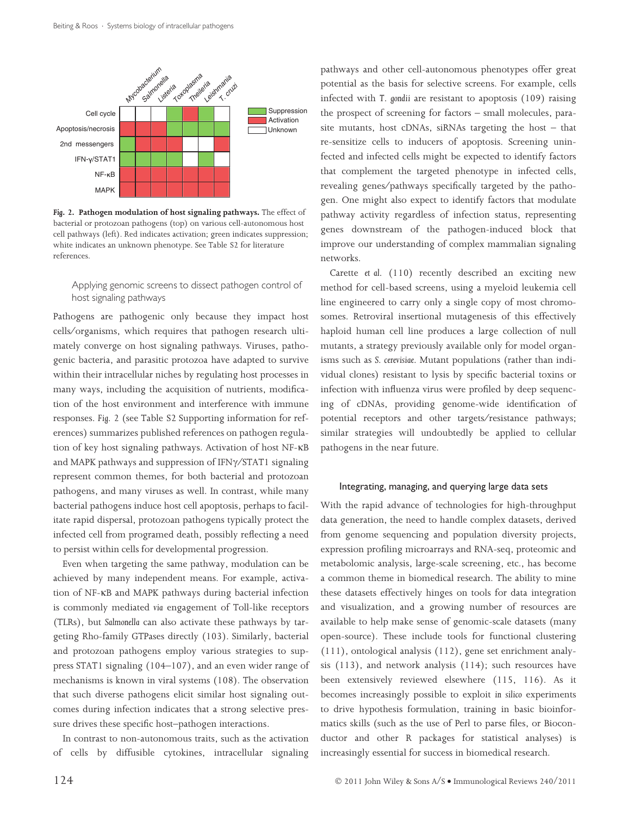

Fig. 2. Pathogen modulation of host signaling pathways. The effect of bacterial or protozoan pathogens (top) on various cell-autonomous host cell pathways (left). Red indicates activation; green indicates suppression; white indicates an unknown phenotype. See Table S2 for literature references.

#### Applying genomic screens to dissect pathogen control of host signaling pathways

Pathogens are pathogenic only because they impact host cells⁄ organisms, which requires that pathogen research ultimately converge on host signaling pathways. Viruses, pathogenic bacteria, and parasitic protozoa have adapted to survive within their intracellular niches by regulating host processes in many ways, including the acquisition of nutrients, modification of the host environment and interference with immune responses. Fig. 2 (see Table S2 Supporting information for references) summarizes published references on pathogen regulation of key host signaling pathways. Activation of host NF-KB and MAPK pathways and suppression of IFN $\gamma$ /STAT1 signaling represent common themes, for both bacterial and protozoan pathogens, and many viruses as well. In contrast, while many bacterial pathogens induce host cell apoptosis, perhaps to facilitate rapid dispersal, protozoan pathogens typically protect the infected cell from programed death, possibly reflecting a need to persist within cells for developmental progression.

Even when targeting the same pathway, modulation can be achieved by many independent means. For example, activation of NF-KB and MAPK pathways during bacterial infection is commonly mediated via engagement of Toll-like receptors (TLRs), but Salmonella can also activate these pathways by targeting Rho-family GTPases directly (103). Similarly, bacterial and protozoan pathogens employ various strategies to suppress STAT1 signaling (104–107), and an even wider range of mechanisms is known in viral systems (108). The observation that such diverse pathogens elicit similar host signaling outcomes during infection indicates that a strong selective pressure drives these specific host–pathogen interactions.

In contrast to non-autonomous traits, such as the activation of cells by diffusible cytokines, intracellular signaling pathways and other cell-autonomous phenotypes offer great potential as the basis for selective screens. For example, cells infected with T. gondii are resistant to apoptosis (109) raising the prospect of screening for factors – small molecules, parasite mutants, host cDNAs, siRNAs targeting the host – that re-sensitize cells to inducers of apoptosis. Screening uninfected and infected cells might be expected to identify factors that complement the targeted phenotype in infected cells, revealing genes⁄ pathways specifically targeted by the pathogen. One might also expect to identify factors that modulate pathway activity regardless of infection status, representing genes downstream of the pathogen-induced block that improve our understanding of complex mammalian signaling networks.

Carette et al. (110) recently described an exciting new method for cell-based screens, using a myeloid leukemia cell line engineered to carry only a single copy of most chromosomes. Retroviral insertional mutagenesis of this effectively haploid human cell line produces a large collection of null mutants, a strategy previously available only for model organisms such as S. cerevisiae. Mutant populations (rather than individual clones) resistant to lysis by specific bacterial toxins or infection with influenza virus were profiled by deep sequencing of cDNAs, providing genome-wide identification of potential receptors and other targets⁄resistance pathways; similar strategies will undoubtedly be applied to cellular pathogens in the near future.

#### Integrating, managing, and querying large data sets

With the rapid advance of technologies for high-throughput data generation, the need to handle complex datasets, derived from genome sequencing and population diversity projects, expression profiling microarrays and RNA-seq, proteomic and metabolomic analysis, large-scale screening, etc., has become a common theme in biomedical research. The ability to mine these datasets effectively hinges on tools for data integration and visualization, and a growing number of resources are available to help make sense of genomic-scale datasets (many open-source). These include tools for functional clustering (111), ontological analysis (112), gene set enrichment analysis (113), and network analysis (114); such resources have been extensively reviewed elsewhere (115, 116). As it becomes increasingly possible to exploit in silico experiments to drive hypothesis formulation, training in basic bioinformatics skills (such as the use of Perl to parse files, or Bioconductor and other R packages for statistical analyses) is increasingly essential for success in biomedical research.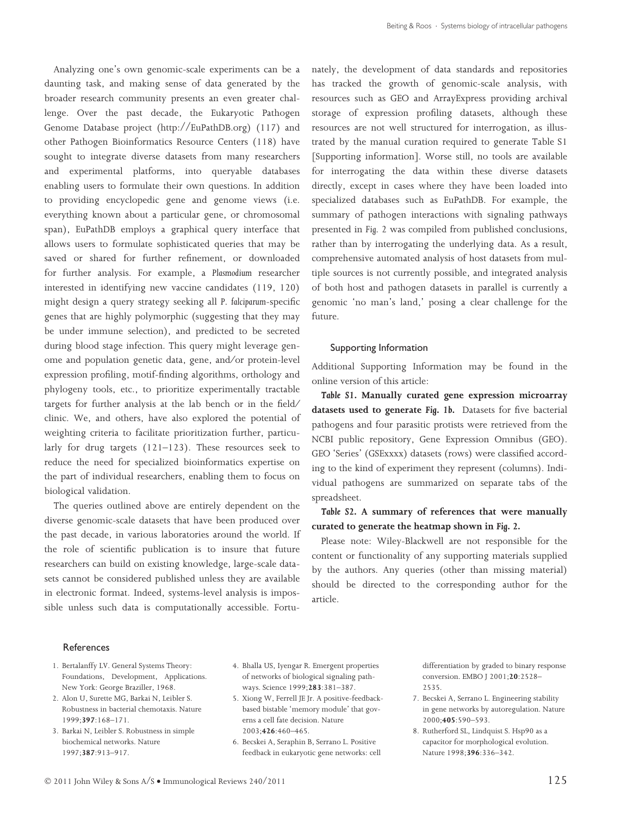Analyzing one's own genomic-scale experiments can be a daunting task, and making sense of data generated by the broader research community presents an even greater challenge. Over the past decade, the Eukaryotic Pathogen Genome Database project (http://EuPathDB.org) (117) and other Pathogen Bioinformatics Resource Centers (118) have sought to integrate diverse datasets from many researchers and experimental platforms, into queryable databases enabling users to formulate their own questions. In addition to providing encyclopedic gene and genome views (i.e. everything known about a particular gene, or chromosomal span), EuPathDB employs a graphical query interface that allows users to formulate sophisticated queries that may be saved or shared for further refinement, or downloaded for further analysis. For example, a Plasmodium researcher interested in identifying new vaccine candidates (119, 120) might design a query strategy seeking all P. falciparum-specific genes that are highly polymorphic (suggesting that they may be under immune selection), and predicted to be secreted during blood stage infection. This query might leverage genome and population genetic data, gene, and/or protein-level expression profiling, motif-finding algorithms, orthology and phylogeny tools, etc., to prioritize experimentally tractable targets for further analysis at the lab bench or in the field/ clinic. We, and others, have also explored the potential of weighting criteria to facilitate prioritization further, particularly for drug targets (121–123). These resources seek to reduce the need for specialized bioinformatics expertise on the part of individual researchers, enabling them to focus on biological validation.

The queries outlined above are entirely dependent on the diverse genomic-scale datasets that have been produced over the past decade, in various laboratories around the world. If the role of scientific publication is to insure that future researchers can build on existing knowledge, large-scale datasets cannot be considered published unless they are available in electronic format. Indeed, systems-level analysis is impossible unless such data is computationally accessible. Fortunately, the development of data standards and repositories has tracked the growth of genomic-scale analysis, with resources such as GEO and ArrayExpress providing archival storage of expression profiling datasets, although these resources are not well structured for interrogation, as illustrated by the manual curation required to generate Table S1 [Supporting information]. Worse still, no tools are available for interrogating the data within these diverse datasets directly, except in cases where they have been loaded into specialized databases such as EuPathDB. For example, the summary of pathogen interactions with signaling pathways presented in Fig. 2 was compiled from published conclusions, rather than by interrogating the underlying data. As a result, comprehensive automated analysis of host datasets from multiple sources is not currently possible, and integrated analysis of both host and pathogen datasets in parallel is currently a genomic 'no man's land,' posing a clear challenge for the future.

#### Supporting Information

Additional Supporting Information may be found in the online version of this article:

Table S1. Manually curated gene expression microarray datasets used to generate Fig. 1b. Datasets for five bacterial pathogens and four parasitic protists were retrieved from the NCBI public repository, Gene Expression Omnibus (GEO). GEO 'Series' (GSExxxx) datasets (rows) were classified according to the kind of experiment they represent (columns). Individual pathogens are summarized on separate tabs of the spreadsheet.

### Table S2. A summary of references that were manually curated to generate the heatmap shown in Fig. 2.

Please note: Wiley-Blackwell are not responsible for the content or functionality of any supporting materials supplied by the authors. Any queries (other than missing material) should be directed to the corresponding author for the article.

#### References

- 1. Bertalanffy LV. General Systems Theory: Foundations, Development, Applications. New York: George Braziller, 1968.
- 2. Alon U, Surette MG, Barkai N, Leibler S. Robustness in bacterial chemotaxis. Nature 1999;397:168–171.
- 3. Barkai N, Leibler S. Robustness in simple biochemical networks. Nature 1997;387:913–917.
- 4. Bhalla US, Iyengar R. Emergent properties of networks of biological signaling pathways. Science 1999;283:381–387.
- 5. Xiong W, Ferrell JE Jr. A positive-feedbackbased bistable 'memory module' that governs a cell fate decision. Nature 2003;426:460–465.
- 6. Becskei A, Seraphin B, Serrano L. Positive feedback in eukaryotic gene networks: cell

differentiation by graded to binary response conversion. EMBO J 2001;20:2528– 2535.

- 7. Becskei A, Serrano L. Engineering stability in gene networks by autoregulation. Nature 2000;405:590–593.
- 8. Rutherford SL, Lindquist S. Hsp90 as a capacitor for morphological evolution. Nature 1998;396:336–342.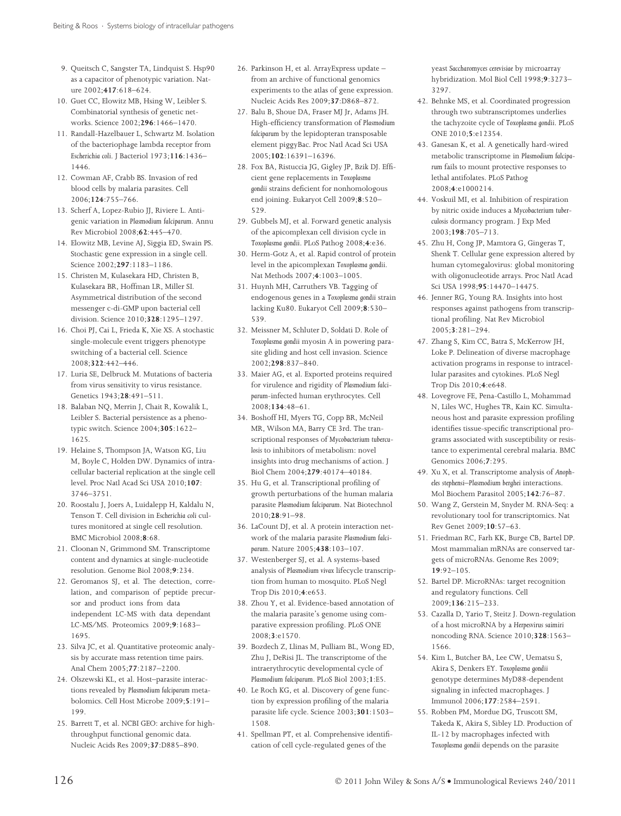- 9. Queitsch C, Sangster TA, Lindquist S. Hsp90 as a capacitor of phenotypic variation. Nature 2002;417:618–624.
- 10. Guet CC, Elowitz MB, Hsing W, Leibler S. Combinatorial synthesis of genetic networks. Science 2002;296:1466–1470.
- 11. Randall-Hazelbauer L, Schwartz M. Isolation of the bacteriophage lambda receptor from Escherichia coli. J Bacteriol 1973;116:1436– 1446.
- 12. Cowman AF, Crabb BS. Invasion of red blood cells by malaria parasites. Cell 2006;124:755–766.
- 13. Scherf A, Lopez-Rubio JJ, Riviere L. Antigenic variation in Plasmodium falciparum. Annu Rev Microbiol 2008;62:445–470.
- 14. Elowitz MB, Levine AJ, Siggia ED, Swain PS. Stochastic gene expression in a single cell. Science 2002;297:1183–1186.
- 15. Christen M, Kulasekara HD, Christen B, Kulasekara BR, Hoffman LR, Miller SI. Asymmetrical distribution of the second messenger c-di-GMP upon bacterial cell division. Science 2010;328:1295–1297.
- 16. Choi PJ, Cai L, Frieda K, Xie XS. A stochastic single-molecule event triggers phenotype switching of a bacterial cell. Science 2008;322:442–446.
- 17. Luria SE, Delbruck M. Mutations of bacteria from virus sensitivity to virus resistance. Genetics 1943;28:491–511.
- 18. Balaban NQ, Merrin J, Chait R, Kowalik L, Leibler S. Bacterial persistence as a phenotypic switch. Science 2004;305:1622– 1625.
- 19. Helaine S, Thompson JA, Watson KG, Liu M, Boyle C, Holden DW. Dynamics of intracellular bacterial replication at the single cell level. Proc Natl Acad Sci USA 2010;107: 3746–3751.
- 20. Roostalu J, Joers A, Luidalepp H, Kaldalu N, Tenson T. Cell division in Escherichia coli cultures monitored at single cell resolution. BMC Microbiol 2008;8:68.
- 21. Cloonan N, Grimmond SM. Transcriptome content and dynamics at single-nucleotide resolution. Genome Biol 2008;9:234.
- 22. Geromanos SJ, et al. The detection, correlation, and comparison of peptide precursor and product ions from data independent LC-MS with data dependant LC-MS/MS. Proteomics 2009;9:1683-1695.
- 23. Silva JC, et al. Quantitative proteomic analysis by accurate mass retention time pairs. Anal Chem 2005;77:2187–2200.
- 24. Olszewski KL, et al. Host–parasite interactions revealed by Plasmodium falciparum metabolomics. Cell Host Microbe 2009;5:191– 199.
- 25. Barrett T, et al. NCBI GEO: archive for highthroughput functional genomic data. Nucleic Acids Res 2009;37:D885–890.
- 26. Parkinson H, et al. ArrayExpress update from an archive of functional genomics experiments to the atlas of gene expression. Nucleic Acids Res 2009;37:D868–872.
- 27. Balu B, Shoue DA, Fraser MJ Jr, Adams JH. High-efficiency transformation of Plasmodium falciparum by the lepidopteran transposable element piggyBac. Proc Natl Acad Sci USA 2005;102:16391–16396.
- 28. Fox BA, Ristuccia JG, Gigley JP, Bzik DJ. Efficient gene replacements in Toxoplasma gondii strains deficient for nonhomologous end joining. Eukaryot Cell 2009;8:520– 529.
- 29. Gubbels MJ, et al. Forward genetic analysis of the apicomplexan cell division cycle in Toxoplasma gondii. PLoS Pathog 2008;4:e36.
- 30. Herm-Gotz A, et al. Rapid control of protein level in the apicomplexan Toxoplasma gondii. Nat Methods 2007;4:1003–1005.
- 31. Huynh MH, Carruthers VB. Tagging of endogenous genes in a Toxoplasma gondii strain lacking Ku80. Eukaryot Cell 2009;8:530– 539.
- 32. Meissner M, Schluter D, Soldati D. Role of Toxoplasma gondii myosin A in powering parasite gliding and host cell invasion. Science 2002;298:837–840.
- 33. Maier AG, et al. Exported proteins required for virulence and rigidity of Plasmodium falciparum-infected human erythrocytes. Cell 2008;134:48–61.
- 34. Boshoff HI, Myers TG, Copp BR, McNeil MR, Wilson MA, Barry CE 3rd. The transcriptional responses of Mycobacterium tuberculosis to inhibitors of metabolism: novel insights into drug mechanisms of action. J Biol Chem 2004;279:40174–40184.
- 35. Hu G, et al. Transcriptional profiling of growth perturbations of the human malaria parasite Plasmodium falciparum. Nat Biotechnol 2010;28:91–98.
- 36. LaCount DJ, et al. A protein interaction network of the malaria parasite Plasmodium falciparum. Nature 2005;438:103–107.
- 37. Westenberger SJ, et al. A systems-based analysis of Plasmodium vivax lifecycle transcription from human to mosquito. PLoS Negl Trop Dis 2010;4:e653.
- 38. Zhou Y, et al. Evidence-based annotation of the malaria parasite's genome using comparative expression profiling. PLoS ONE 2008;3:e1570.
- 39. Bozdech Z, Llinas M, Pulliam BL, Wong ED, Zhu J, DeRisi JL. The transcriptome of the intraerythrocytic developmental cycle of Plasmodium falciparum. PLoS Biol 2003;1:E5.
- 40. Le Roch KG, et al. Discovery of gene function by expression profiling of the malaria parasite life cycle. Science 2003;301:1503– 1508.
- 41. Spellman PT, et al. Comprehensive identification of cell cycle-regulated genes of the

yeast Saccharomyces cerevisiae by microarray hybridization. Mol Biol Cell 1998;9:3273– 3297.

- 42. Behnke MS, et al. Coordinated progression through two subtranscriptomes underlies the tachyzoite cycle of Toxoplasma gondii. PLoS ONE 2010;5:e12354.
- 43. Ganesan K, et al. A genetically hard-wired metabolic transcriptome in Plasmodium falciparum fails to mount protective responses to lethal antifolates. PLoS Pathog 2008;4:e1000214.
- 44. Voskuil MI, et al. Inhibition of respiration by nitric oxide induces a Mycobacterium tuberculosis dormancy program. J Exp Med 2003;198:705–713.
- 45. Zhu H, Cong JP, Mamtora G, Gingeras T, Shenk T. Cellular gene expression altered by human cytomegalovirus: global monitoring with oligonucleotide arrays. Proc Natl Acad Sci USA 1998;95:14470–14475.
- 46. Jenner RG, Young RA. Insights into host responses against pathogens from transcriptional profiling. Nat Rev Microbiol 2005;3:281–294.
- 47. Zhang S, Kim CC, Batra S, McKerrow JH, Loke P. Delineation of diverse macrophage activation programs in response to intracellular parasites and cytokines. PLoS Negl Trop Dis 2010;4:e648.
- 48. Lovegrove FE, Pena-Castillo L, Mohammad N, Liles WC, Hughes TR, Kain KC. Simultaneous host and parasite expression profiling identifies tissue-specific transcriptional programs associated with susceptibility or resistance to experimental cerebral malaria. BMC Genomics 2006;7:295.
- 49. Xu X, et al. Transcriptome analysis of Anopheles stephensi–Plasmodium berghei interactions. Mol Biochem Parasitol 2005;142:76–87.
- 50. Wang Z, Gerstein M, Snyder M. RNA-Seq: a revolutionary tool for transcriptomics. Nat Rev Genet 2009;10:57–63.
- 51. Friedman RC, Farh KK, Burge CB, Bartel DP. Most mammalian mRNAs are conserved targets of microRNAs. Genome Res 2009; 19:92–105.
- 52. Bartel DP. MicroRNAs: target recognition and regulatory functions. Cell 2009;136:215–233.
- 53. Cazalla D, Yario T, Steitz J. Down-regulation of a host microRNA by a Herpesvirus saimiri noncoding RNA. Science 2010;328:1563– 1566.
- 54. Kim L, Butcher BA, Lee CW, Uematsu S, Akira S, Denkers EY. Toxoplasma gondii genotype determines MyD88-dependent signaling in infected macrophages. J Immunol 2006;177:2584–2591.
- 55. Robben PM, Mordue DG, Truscott SM, Takeda K, Akira S, Sibley LD. Production of IL-12 by macrophages infected with Toxoplasma gondii depends on the parasite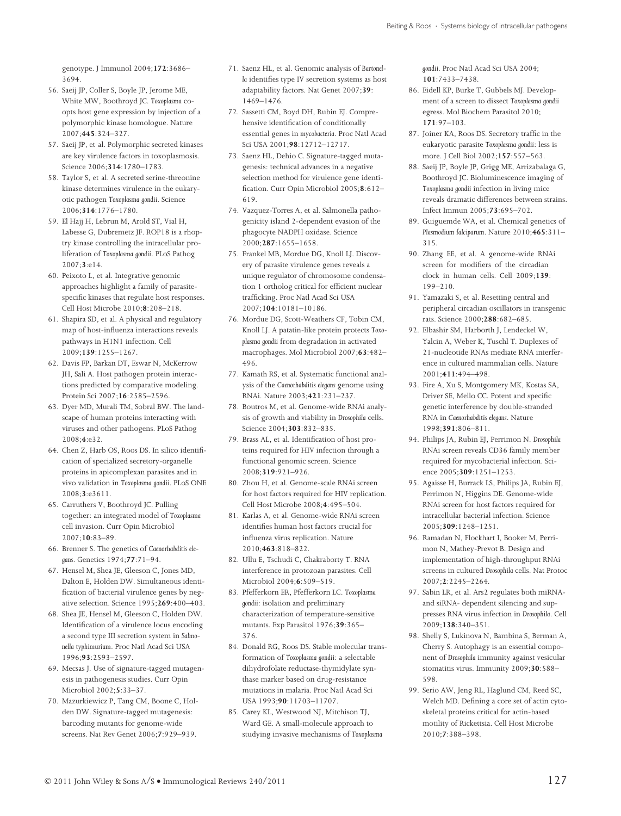genotype. J Immunol 2004;172:3686– 3694.

- 56. Saeij JP, Coller S, Boyle JP, Jerome ME, White MW, Boothroyd JC. Toxoplasma coopts host gene expression by injection of a polymorphic kinase homologue. Nature 2007;445:324–327.
- 57. Saeij JP, et al. Polymorphic secreted kinases are key virulence factors in toxoplasmosis. Science 2006;314:1780–1783.
- 58. Taylor S, et al. A secreted serine-threonine kinase determines virulence in the eukaryotic pathogen Toxoplasma gondii. Science 2006;314:1776–1780.
- 59. El Hajj H, Lebrun M, Arold ST, Vial H, Labesse G, Dubremetz JF. ROP18 is a rhoptry kinase controlling the intracellular proliferation of Toxoplasma gondii. PLoS Pathog 2007;3:e14.
- 60. Peixoto L, et al. Integrative genomic approaches highlight a family of parasitespecific kinases that regulate host responses. Cell Host Microbe 2010;8:208–218.
- 61. Shapira SD, et al. A physical and regulatory map of host-influenza interactions reveals pathways in H1N1 infection. Cell 2009;139:1255–1267.
- 62. Davis FP, Barkan DT, Eswar N, McKerrow JH, Sali A. Host pathogen protein interactions predicted by comparative modeling. Protein Sci 2007;16:2585–2596.
- 63. Dyer MD, Murali TM, Sobral BW. The landscape of human proteins interacting with viruses and other pathogens. PLoS Pathog 2008;4:e32.
- 64. Chen Z, Harb OS, Roos DS. In silico identification of specialized secretory-organelle proteins in apicomplexan parasites and in vivo validation in Toxoplasma gondii. PLoS ONE 2008;3:e3611.
- 65. Carruthers V, Boothroyd JC. Pulling together: an integrated model of Toxoplasma cell invasion. Curr Opin Microbiol 2007;10:83–89.
- 66. Brenner S. The genetics of Caenorhabditis elegans. Genetics 1974;77:71–94.
- 67. Hensel M, Shea JE, Gleeson C, Jones MD, Dalton E, Holden DW. Simultaneous identification of bacterial virulence genes by negative selection. Science 1995;269:400–403.
- 68. Shea JE, Hensel M, Gleeson C, Holden DW. Identification of a virulence locus encoding a second type III secretion system in Salmonella typhimurium. Proc Natl Acad Sci USA 1996;93:2593–2597.
- 69. Mecsas J. Use of signature-tagged mutagenesis in pathogenesis studies. Curr Opin Microbiol 2002;5:33–37.
- 70. Mazurkiewicz P, Tang CM, Boone C, Holden DW. Signature-tagged mutagenesis: barcoding mutants for genome-wide screens. Nat Rev Genet 2006;7:929–939.
- 71. Saenz HL, et al. Genomic analysis of Bartonella identifies type IV secretion systems as host adaptability factors. Nat Genet 2007;39: 1469–1476.
- 72. Sassetti CM, Boyd DH, Rubin EJ. Comprehensive identification of conditionally essential genes in mycobacteria. Proc Natl Acad Sci USA 2001;98:12712–12717.
- 73. Saenz HL, Dehio C. Signature-tagged mutagenesis: technical advances in a negative selection method for virulence gene identification. Curr Opin Microbiol 2005;8:612– 619.
- 74. Vazquez-Torres A, et al. Salmonella pathogenicity island 2-dependent evasion of the phagocyte NADPH oxidase. Science 2000;287:1655–1658.
- 75. Frankel MB, Mordue DG, Knoll LJ. Discovery of parasite virulence genes reveals a unique regulator of chromosome condensation 1 ortholog critical for efficient nuclear trafficking. Proc Natl Acad Sci USA 2007;104:10181–10186.
- 76. Mordue DG, Scott-Weathers CF, Tobin CM, Knoll LJ. A patatin-like protein protects Toxoplasma gondii from degradation in activated macrophages. Mol Microbiol 2007;63:482– 496.
- 77. Kamath RS, et al. Systematic functional analysis of the Caenorhabditis elegans genome using RNAi. Nature 2003;421:231–237.
- 78. Boutros M, et al. Genome-wide RNAi analysis of growth and viability in Drosophila cells. Science 2004;303:832–835.
- 79. Brass AL, et al. Identification of host proteins required for HIV infection through a functional genomic screen. Science 2008;319:921–926.
- 80. Zhou H, et al. Genome-scale RNAi screen for host factors required for HIV replication. Cell Host Microbe 2008;4:495–504.
- 81. Karlas A, et al. Genome-wide RNAi screen identifies human host factors crucial for influenza virus replication. Nature 2010;463:818–822.
- 82. Ullu E, Tschudi C, Chakraborty T. RNA interference in protozoan parasites. Cell Microbiol 2004;6:509–519.
- 83. Pfefferkorn ER, Pfefferkorn LC. Toxoplasma gondii: isolation and preliminary characterization of temperature-sensitive mutants. Exp Parasitol 1976;39:365– 376.
- 84. Donald RG, Roos DS. Stable molecular transformation of Toxoplasma gondii: a selectable dihydrofolate reductase-thymidylate synthase marker based on drug-resistance mutations in malaria. Proc Natl Acad Sci USA 1993;90:11703–11707.
- 85. Carey KL, Westwood NJ, Mitchison TJ, Ward GE. A small-molecule approach to studying invasive mechanisms of Toxoplasma

gondii. Proc Natl Acad Sci USA 2004; 101:7433–7438.

- 86. Eidell KP, Burke T, Gubbels MJ. Development of a screen to dissect Toxoplasma gondii egress. Mol Biochem Parasitol 2010; 171:97–103.
- 87. Joiner KA, Roos DS. Secretory traffic in the eukaryotic parasite Toxoplasma gondii: less is more. J Cell Biol 2002;157:557–563.
- 88. Saeij JP, Boyle JP, Grigg ME, Arrizabalaga G, Boothroyd JC. Bioluminescence imaging of Toxoplasma gondii infection in living mice reveals dramatic differences between strains. Infect Immun 2005;73:695–702.
- 89. Guiguemde WA, et al. Chemical genetics of Plasmodium falciparum. Nature 2010;465:311– 315.
- 90. Zhang EE, et al. A genome-wide RNAi screen for modifiers of the circadian clock in human cells. Cell 2009;139: 199–210.
- 91. Yamazaki S, et al. Resetting central and peripheral circadian oscillators in transgenic rats. Science 2000;288:682–685.
- 92. Elbashir SM, Harborth J, Lendeckel W, Yalcin A, Weber K, Tuschl T. Duplexes of 21-nucleotide RNAs mediate RNA interference in cultured mammalian cells. Nature 2001;411:494–498.
- 93. Fire A, Xu S, Montgomery MK, Kostas SA, Driver SE, Mello CC. Potent and specific genetic interference by double-stranded RNA in Caenorhabditis elegans. Nature 1998;391:806–811.
- 94. Philips JA, Rubin EJ, Perrimon N. Drosophila RNAi screen reveals CD36 family member required for mycobacterial infection. Science 2005;309:1251–1253.
- 95. Agaisse H, Burrack LS, Philips JA, Rubin EJ, Perrimon N, Higgins DE. Genome-wide RNAi screen for host factors required for intracellular bacterial infection. Science 2005;309:1248–1251.
- 96. Ramadan N, Flockhart I, Booker M, Perrimon N, Mathey-Prevot B. Design and implementation of high-throughput RNAi screens in cultured Drosophila cells. Nat Protoc 2007;2:2245–2264.
- 97. Sabin LR, et al. Ars2 regulates both miRNAand siRNA- dependent silencing and suppresses RNA virus infection in Drosophila. Cell 2009;138:340–351.
- 98. Shelly S, Lukinova N, Bambina S, Berman A, Cherry S. Autophagy is an essential component of Drosophila immunity against vesicular stomatitis virus. Immunity 2009;30:588– 598.
- 99. Serio AW, Jeng RL, Haglund CM, Reed SC, Welch MD. Defining a core set of actin cytoskeletal proteins critical for actin-based motility of Rickettsia. Cell Host Microbe 2010;7:388–398.